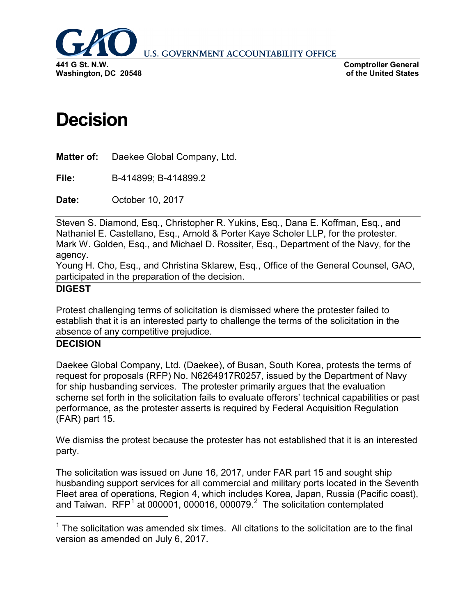

**U.S. GOVERNMENT ACCOUNTABILITY OFFICE** 

**Comptroller General of the United States**

## **Decision**

**Matter of:** Daekee Global Company, Ltd.

**File:** B-414899; B-414899.2

**Date:** October 10, 2017

Steven S. Diamond, Esq., Christopher R. Yukins, Esq., Dana E. Koffman, Esq., and Nathaniel E. Castellano, Esq., Arnold & Porter Kaye Scholer LLP, for the protester. Mark W. Golden, Esq., and Michael D. Rossiter, Esq., Department of the Navy, for the agency.

Young H. Cho, Esq., and Christina Sklarew, Esq., Office of the General Counsel, GAO, participated in the preparation of the decision.

## **DIGEST**

Protest challenging terms of solicitation is dismissed where the protester failed to establish that it is an interested party to challenge the terms of the solicitation in the absence of any competitive prejudice.

## **DECISION**

<span id="page-0-1"></span>Daekee Global Company, Ltd. (Daekee), of Busan, South Korea, protests the terms of request for proposals (RFP) No. N6264917R0257, issued by the Department of Navy for ship husbanding services. The protester primarily argues that the evaluation scheme set forth in the solicitation fails to evaluate offerors' technical capabilities or past performance, as the protester asserts is required by Federal Acquisition Regulation (FAR) part 15.

We dismiss the protest because the protester has not established that it is an interested party.

The solicitation was issued on June 16, 2017, under FAR part 15 and sought ship husbanding support services for all commercial and military ports located in the Seventh Fleet area of operations, Region 4, which includes Korea, Japan, Russia (Pacific coast), and Taiwan.  $RFP<sup>1</sup>$  $RFP<sup>1</sup>$  $RFP<sup>1</sup>$  at 000001, 000016, 000079.<sup>[2](#page-0-1)</sup> The solicitation contemplated

<span id="page-0-0"></span> $1$  The solicitation was amended six times. All citations to the solicitation are to the final version as amended on July 6, 2017.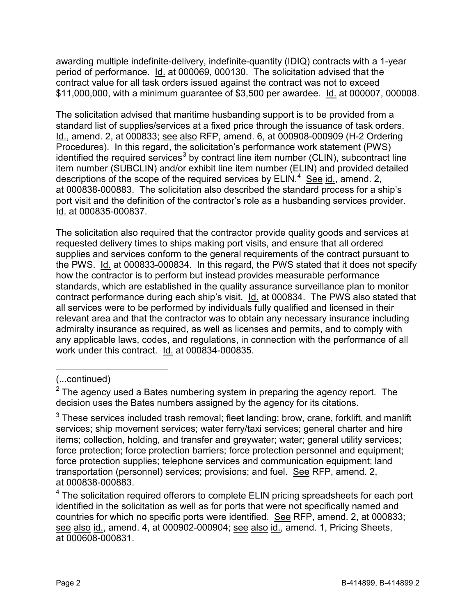awarding multiple indefinite-delivery, indefinite-quantity (IDIQ) contracts with a 1-year period of performance. Id. at 000069, 000130. The solicitation advised that the contract value for all task orders issued against the contract was not to exceed \$11,000,000, with a minimum guarantee of \$3,500 per awardee. Id. at 000007, 000008.

The solicitation advised that maritime husbanding support is to be provided from a standard list of supplies/services at a fixed price through the issuance of task orders. Id., amend. 2, at 000833; see also RFP, amend. 6, at 000908-000909 (H-2 Ordering Procedures). In this regard, the solicitation's performance work statement (PWS) identified the required services<sup>[3](#page-1-0)</sup> by contract line item number (CLIN), subcontract line item number (SUBCLIN) and/or exhibit line item number (ELIN) and provided detailed descriptions of the scope of the required services by  $ELIN.<sup>4</sup>$  $ELIN.<sup>4</sup>$  $ELIN.<sup>4</sup>$  See id., amend. 2, at 000838-000883. The solicitation also described the standard process for a ship's port visit and the definition of the contractor's role as a husbanding services provider. Id. at 000835-000837.

The solicitation also required that the contractor provide quality goods and services at requested delivery times to ships making port visits, and ensure that all ordered supplies and services conform to the general requirements of the contract pursuant to the PWS. Id. at 000833-000834. In this regard, the PWS stated that it does not specify how the contractor is to perform but instead provides measurable performance standards, which are established in the quality assurance surveillance plan to monitor contract performance during each ship's visit. Id. at 000834. The PWS also stated that all services were to be performed by individuals fully qualified and licensed in their relevant area and that the contractor was to obtain any necessary insurance including admiralty insurance as required, as well as licenses and permits, and to comply with any applicable laws, codes, and regulations, in connection with the performance of all work under this contract. Id. at 000834-000835.

 $\overline{a}$ 

<sup>(...</sup>continued)

 $2$  The agency used a Bates numbering system in preparing the agency report. The decision uses the Bates numbers assigned by the agency for its citations.

<span id="page-1-0"></span> $3$  These services included trash removal; fleet landing; brow, crane, forklift, and manlift services; ship movement services; water ferry/taxi services; general charter and hire items; collection, holding, and transfer and greywater; water; general utility services; force protection; force protection barriers; force protection personnel and equipment; force protection supplies; telephone services and communication equipment; land transportation (personnel) services; provisions; and fuel. See RFP, amend. 2, at 000838-000883.<br><sup>4</sup> The solicitation required offerors to complete ELIN pricing spreadsheets for each port

<span id="page-1-1"></span>identified in the solicitation as well as for ports that were not specifically named and countries for which no specific ports were identified. See RFP, amend. 2, at 000833; see also id., amend. 4, at 000902-000904; see also id., amend. 1, Pricing Sheets, at 000608-000831.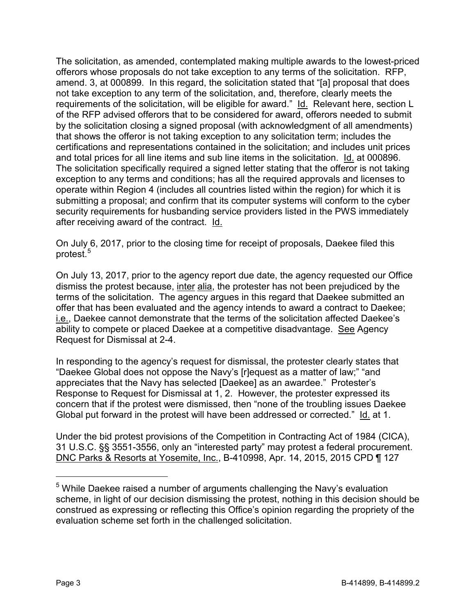The solicitation, as amended, contemplated making multiple awards to the lowest-priced offerors whose proposals do not take exception to any terms of the solicitation. RFP, amend. 3, at 000899. In this regard, the solicitation stated that "[a] proposal that does not take exception to any term of the solicitation, and, therefore, clearly meets the requirements of the solicitation, will be eligible for award." Id. Relevant here, section L of the RFP advised offerors that to be considered for award, offerors needed to submit by the solicitation closing a signed proposal (with acknowledgment of all amendments) that shows the offeror is not taking exception to any solicitation term; includes the certifications and representations contained in the solicitation; and includes unit prices and total prices for all line items and sub line items in the solicitation. Id. at 000896. The solicitation specifically required a signed letter stating that the offeror is not taking exception to any terms and conditions; has all the required approvals and licenses to operate within Region 4 (includes all countries listed within the region) for which it is submitting a proposal; and confirm that its computer systems will conform to the cyber security requirements for husbanding service providers listed in the PWS immediately after receiving award of the contract. Id.

On July 6, 2017, prior to the closing time for receipt of proposals, Daekee filed this protest.<sup>[5](#page-2-0)</sup>

On July 13, 2017, prior to the agency report due date, the agency requested our Office dismiss the protest because, inter alia, the protester has not been prejudiced by the terms of the solicitation. The agency argues in this regard that Daekee submitted an offer that has been evaluated and the agency intends to award a contract to Daekee; i.e., Daekee cannot demonstrate that the terms of the solicitation affected Daekee's ability to compete or placed Daekee at a competitive disadvantage. See Agency Request for Dismissal at 2-4.

In responding to the agency's request for dismissal, the protester clearly states that "Daekee Global does not oppose the Navy's [r]equest as a matter of law;" "and appreciates that the Navy has selected [Daekee] as an awardee." Protester's Response to Request for Dismissal at 1, 2. However, the protester expressed its concern that if the protest were dismissed, then "none of the troubling issues Daekee Global put forward in the protest will have been addressed or corrected." Id. at 1.

Under the bid protest provisions of the Competition in Contracting Act of 1984 (CICA), 31 U.S.C. §§ 3551-3556, only an "interested party" may protest a federal procurement. DNC Parks & Resorts at Yosemite, Inc., B-410998, Apr. 14, 2015, 2015 CPD ¶ 127

<span id="page-2-0"></span> $5$  While Daekee raised a number of arguments challenging the Navy's evaluation scheme, in light of our decision dismissing the protest, nothing in this decision should be construed as expressing or reflecting this Office's opinion regarding the propriety of the evaluation scheme set forth in the challenged solicitation.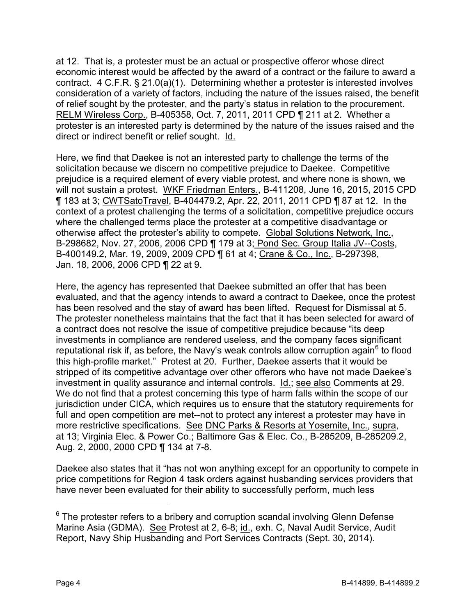at 12. That is, a protester must be an actual or prospective offeror whose direct economic interest would be affected by the award of a contract or the failure to award a contract. 4 C.F.R. § 21.0(a)(1). Determining whether a protester is interested involves consideration of a variety of factors, including the nature of the issues raised, the benefit of relief sought by the protester, and the party's status in relation to the procurement. RELM Wireless Corp., B-405358, Oct. 7, 2011, 2011 CPD ¶ 211 at 2. Whether a protester is an interested party is determined by the nature of the issues raised and the direct or indirect benefit or relief sought. Id.

Here, we find that Daekee is not an interested party to challenge the terms of the solicitation because we discern no competitive prejudice to Daekee. Competitive prejudice is a required element of every viable protest, and where none is shown, we will not sustain a protest. WKF Friedman Enters., B-411208, June 16, 2015, 2015 CPD ¶ 183 at 3; CWTSatoTravel, B-404479.2, Apr. 22, 2011, 2011 CPD ¶ 87 at 12. In the context of a protest challenging the terms of a solicitation, competitive prejudice occurs where the challenged terms place the protester at a competitive disadvantage or otherwise affect the protester's ability to compete. Global Solutions Network, Inc., B-298682, Nov. 27, 2006, 2006 CPD ¶ 179 at 3; Pond Sec. Group Italia JV--Costs, B-400149.2, Mar. 19, 2009, 2009 CPD ¶ 61 at 4; Crane & Co., Inc., B-297398, Jan. 18, 2006, 2006 CPD ¶ 22 at 9.

Here, the agency has represented that Daekee submitted an offer that has been evaluated, and that the agency intends to award a contract to Daekee, once the protest has been resolved and the stay of award has been lifted. Request for Dismissal at 5. The protester nonetheless maintains that the fact that it has been selected for award of a contract does not resolve the issue of competitive prejudice because "its deep investments in compliance are rendered useless, and the company faces significant reputational risk if, as before, the Navy's weak controls allow corruption again<sup>[6](#page-3-0)</sup> to flood this high-profile market." Protest at 20. Further, Daekee asserts that it would be stripped of its competitive advantage over other offerors who have not made Daekee's investment in quality assurance and internal controls. Id.; see also Comments at 29. We do not find that a protest concerning this type of harm falls within the scope of our jurisdiction under CICA, which requires us to ensure that the statutory requirements for full and open competition are met--not to protect any interest a protester may have in more restrictive specifications. See DNC Parks & Resorts at Yosemite, Inc., supra, at 13; Virginia Elec. & Power Co.; Baltimore Gas & Elec. Co., B-285209, B-285209.2, Aug. 2, 2000, 2000 CPD ¶ 134 at 7-8.

Daekee also states that it "has not won anything except for an opportunity to compete in price competitions for Region 4 task orders against husbanding services providers that have never been evaluated for their ability to successfully perform, much less

<span id="page-3-0"></span> $6$  The protester refers to a bribery and corruption scandal involving Glenn Defense Marine Asia (GDMA). See Protest at 2, 6-8; id., exh. C, Naval Audit Service, Audit Report, Navy Ship Husbanding and Port Services Contracts (Sept. 30, 2014).